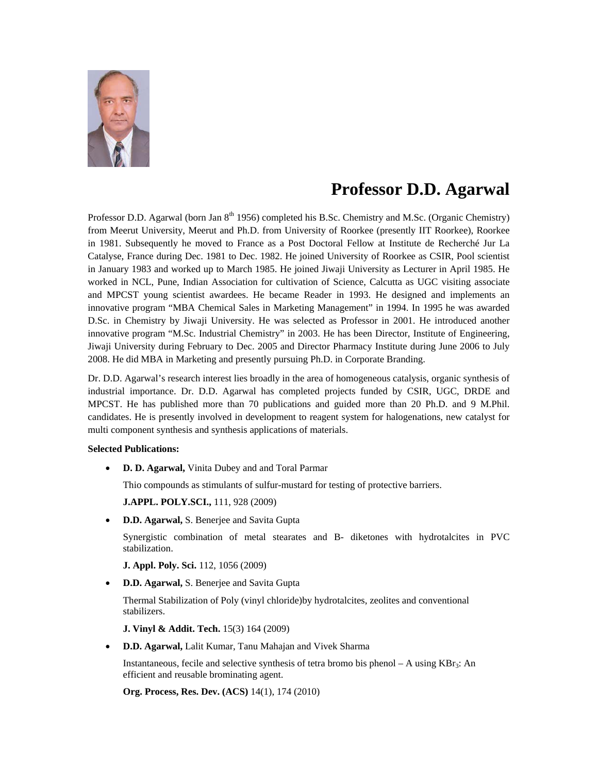

## **Professor D.D. Agarwal**

Professor D.D. Agarwal (born Jan 8<sup>th</sup> 1956) completed his B.Sc. Chemistry and M.Sc. (Organic Chemistry) from Meerut University, Meerut and Ph.D. from University of Roorkee (presently IIT Roorkee), Roorkee in 1981. Subsequently he moved to France as a Post Doctoral Fellow at Institute de Recherché Jur La Catalyse, France during Dec. 1981 to Dec. 1982. He joined University of Roorkee as CSIR, Pool scientist in January 1983 and worked up to March 1985. He joined Jiwaji University as Lecturer in April 1985. He worked in NCL, Pune, Indian Association for cultivation of Science, Calcutta as UGC visiting associate and MPCST young scientist awardees. He became Reader in 1993. He designed and implements an innovative program "MBA Chemical Sales in Marketing Management" in 1994. In 1995 he was awarded D.Sc. in Chemistry by Jiwaji University. He was selected as Professor in 2001. He introduced another innovative program "M.Sc. Industrial Chemistry" in 2003. He has been Director, Institute of Engineering, Jiwaji University during February to Dec. 2005 and Director Pharmacy Institute during June 2006 to July 2008. He did MBA in Marketing and presently pursuing Ph.D. in Corporate Branding.

Dr. D.D. Agarwal's research interest lies broadly in the area of homogeneous catalysis, organic synthesis of industrial importance. Dr. D.D. Agarwal has completed projects funded by CSIR, UGC, DRDE and MPCST. He has published more than 70 publications and guided more than 20 Ph.D. and 9 M.Phil. candidates. He is presently involved in development to reagent system for halogenations, new catalyst for multi component synthesis and synthesis applications of materials.

## **Selected Publications:**

• **D. D. Agarwal,** Vinita Dubey and and Toral Parmar

Thio compounds as stimulants of sulfur-mustard for testing of protective barriers.

**J.APPL. POLY.SCI.,** 111, 928 (2009)

• **D.D. Agarwal,** S. Benerjee and Savita Gupta

Synergistic combination of metal stearates and B- diketones with hydrotalcites in PVC stabilization.

**J. Appl. Poly. Sci.** 112, 1056 (2009)

• **D.D. Agarwal,** S. Benerjee and Savita Gupta

Thermal Stabilization of Poly (vinyl chloride)by hydrotalcites, zeolites and conventional stabilizers.

**J. Vinyl & Addit. Tech.** 15(3) 164 (2009)

• **D.D. Agarwal,** Lalit Kumar, Tanu Mahajan and Vivek Sharma

Instantaneous, fecile and selective synthesis of tetra bromo bis phenol – A using  $KBr_3$ : An efficient and reusable brominating agent.

**Org. Process, Res. Dev. (ACS)** 14(1), 174 (2010)